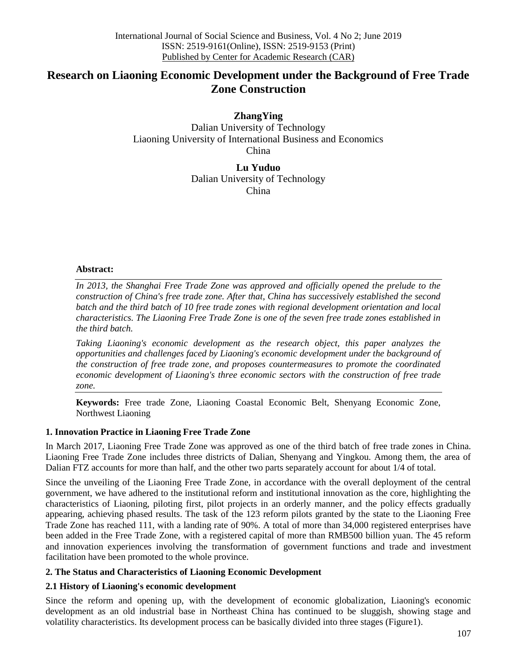# **Research on Liaoning Economic Development under the Background of Free Trade Zone Construction**

**ZhangYing** Dalian University of Technology Liaoning University of International Business and Economics China

> **Lu Yuduo** Dalian University of Technology China

### **Abstract:**

In 2013, the Shanghai Free Trade Zone was approved and officially opened the prelude to the *construction of China's free trade zone. After that, China has successively established the second batch and the third batch of 10 free trade zones with regional development orientation and local characteristics. The Liaoning Free Trade Zone is one of the seven free trade zones established in the third batch.*

*Taking Liaoning's economic development as the research object, this paper analyzes the opportunities and challenges faced by Liaoning's economic development under the background of the construction of free trade zone, and proposes countermeasures to promote the coordinated economic development of Liaoning's three economic sectors with the construction of free trade zone.* 

**Keywords:** Free trade Zone, Liaoning Coastal Economic Belt, Shenyang Economic Zone, Northwest Liaoning

# **1. Innovation Practice in Liaoning Free Trade Zone**

In March 2017, Liaoning Free Trade Zone was approved as one of the third batch of free trade zones in China. Liaoning Free Trade Zone includes three districts of Dalian, Shenyang and Yingkou. Among them, the area of Dalian FTZ accounts for more than half, and the other two parts separately account for about 1/4 of total.

Since the unveiling of the Liaoning Free Trade Zone, in accordance with the overall deployment of the central government, we have adhered to the institutional reform and institutional innovation as the core, highlighting the characteristics of Liaoning, piloting first, pilot projects in an orderly manner, and the policy effects gradually appearing, achieving phased results. The task of the 123 reform pilots granted by the state to the Liaoning Free Trade Zone has reached 111, with a landing rate of 90%. A total of more than 34,000 registered enterprises have been added in the Free Trade Zone, with a registered capital of more than RMB500 billion yuan. The 45 reform and innovation experiences involving the transformation of government functions and trade and investment facilitation have been promoted to the whole province.

# **2. The Status and Characteristics of Liaoning Economic Development**

# **2.1 History of Liaoning's economic development**

Since the reform and opening up, with the development of economic globalization, Liaoning's economic development as an old industrial base in Northeast China has continued to be sluggish, showing stage and volatility characteristics. Its development process can be basically divided into three stages (Figure1).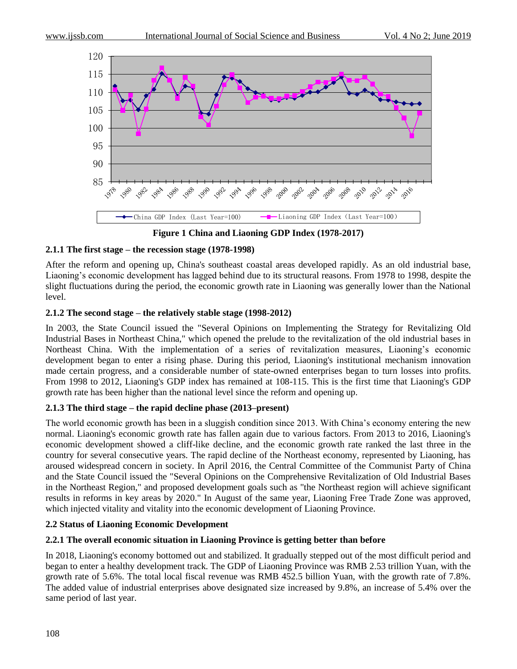

**Figure 1 China and Liaoning GDP Index (1978-2017)**

### **2.1.1 The first stage – the recession stage (1978-1998)**

After the reform and opening up, China's southeast coastal areas developed rapidly. As an old industrial base, Liaoning's economic development has lagged behind due to its structural reasons. From 1978 to 1998, despite the slight fluctuations during the period, the economic growth rate in Liaoning was generally lower than the National level.

### **2.1.2 The second stage – the relatively stable stage (1998-2012)**

In 2003, the State Council issued the "Several Opinions on Implementing the Strategy for Revitalizing Old Industrial Bases in Northeast China," which opened the prelude to the revitalization of the old industrial bases in Northeast China. With the implementation of a series of revitalization measures, Liaoning's economic development began to enter a rising phase. During this period, Liaoning's institutional mechanism innovation made certain progress, and a considerable number of state-owned enterprises began to turn losses into profits. From 1998 to 2012, Liaoning's GDP index has remained at 108-115. This is the first time that Liaoning's GDP growth rate has been higher than the national level since the reform and opening up.

# **2.1.3 The third stage – the rapid decline phase (2013–present)**

The world economic growth has been in a sluggish condition since 2013. With China's economy entering the new normal. Liaoning's economic growth rate has fallen again due to various factors. From 2013 to 2016, Liaoning's economic development showed a cliff-like decline, and the economic growth rate ranked the last three in the country for several consecutive years. The rapid decline of the Northeast economy, represented by Liaoning, has aroused widespread concern in society. In April 2016, the Central Committee of the Communist Party of China and the State Council issued the "Several Opinions on the Comprehensive Revitalization of Old Industrial Bases in the Northeast Region," and proposed development goals such as "the Northeast region will achieve significant results in reforms in key areas by 2020." In August of the same year, Liaoning Free Trade Zone was approved, which injected vitality and vitality into the economic development of Liaoning Province.

# **2.2 Status of Liaoning Economic Development**

### **2.2.1 The overall economic situation in Liaoning Province is getting better than before**

In 2018, Liaoning's economy bottomed out and stabilized. It gradually stepped out of the most difficult period and began to enter a healthy development track. The GDP of Liaoning Province was RMB 2.53 trillion Yuan, with the growth rate of 5.6%. The total local fiscal revenue was RMB 452.5 billion Yuan, with the growth rate of 7.8%. The added value of industrial enterprises above designated size increased by 9.8%, an increase of 5.4% over the same period of last year.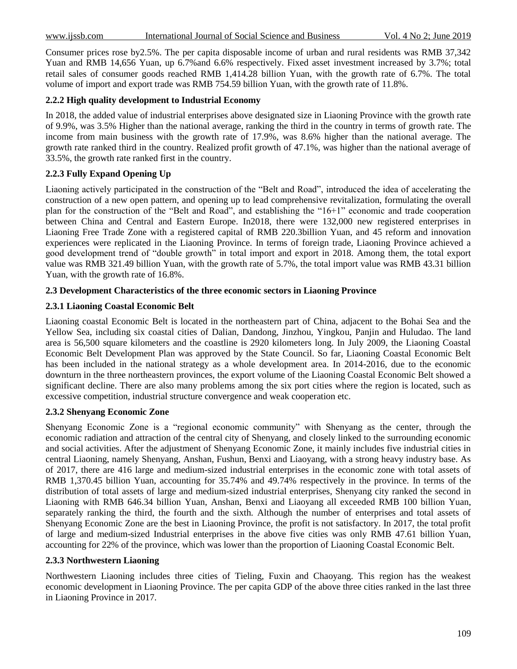Consumer prices rose by2.5%. The per capita disposable income of urban and rural residents was RMB 37,342 Yuan and RMB 14,656 Yuan, up 6.7%and 6.6% respectively. Fixed asset investment increased by 3.7%; total retail sales of consumer goods reached RMB 1,414.28 billion Yuan, with the growth rate of 6.7%. The total volume of import and export trade was RMB 754.59 billion Yuan, with the growth rate of 11.8%.

### **2.2.2 High quality development to Industrial Economy**

In 2018, the added value of industrial enterprises above designated size in Liaoning Province with the growth rate of 9.9%, was 3.5% Higher than the national average, ranking the third in the country in terms of growth rate. The income from main business with the growth rate of 17.9%, was 8.6% higher than the national average. The growth rate ranked third in the country. Realized profit growth of 47.1%, was higher than the national average of 33.5%, the growth rate ranked first in the country.

# **2.2.3 Fully Expand Opening Up**

Liaoning actively participated in the construction of the "Belt and Road", introduced the idea of accelerating the construction of a new open pattern, and opening up to lead comprehensive revitalization, formulating the overall plan for the construction of the "Belt and Road", and establishing the "16+1" economic and trade cooperation between China and Central and Eastern Europe. In2018, there were 132,000 new registered enterprises in Liaoning Free Trade Zone with a registered capital of RMB 220.3billion Yuan, and 45 reform and innovation experiences were replicated in the Liaoning Province. In terms of foreign trade, Liaoning Province achieved a good development trend of "double growth" in total import and export in 2018. Among them, the total export value was RMB 321.49 billion Yuan, with the growth rate of 5.7%, the total import value was RMB 43.31 billion Yuan, with the growth rate of 16.8%.

### **2.3 Development Characteristics of the three economic sectors in Liaoning Province**

### **2.3.1 Liaoning Coastal Economic Belt**

Liaoning coastal Economic Belt is located in the northeastern part of China, adjacent to the Bohai Sea and the Yellow Sea, including six coastal cities of Dalian, Dandong, Jinzhou, Yingkou, Panjin and Huludao. The land area is 56,500 square kilometers and the coastline is 2920 kilometers long. In July 2009, the Liaoning Coastal Economic Belt Development Plan was approved by the State Council. So far, Liaoning Coastal Economic Belt has been included in the national strategy as a whole development area. In 2014-2016, due to the economic downturn in the three northeastern provinces, the export volume of the Liaoning Coastal Economic Belt showed a significant decline. There are also many problems among the six port cities where the region is located, such as excessive competition, industrial structure convergence and weak cooperation etc.

### **2.3.2 Shenyang Economic Zone**

Shenyang Economic Zone is a "regional economic community" with Shenyang as the center, through the economic radiation and attraction of the central city of Shenyang, and closely linked to the surrounding economic and social activities. After the adjustment of Shenyang Economic Zone, it mainly includes five industrial cities in central Liaoning, namely Shenyang, Anshan, Fushun, Benxi and Liaoyang, with a strong heavy industry base. As of 2017, there are 416 large and medium-sized industrial enterprises in the economic zone with total assets of RMB 1,370.45 billion Yuan, accounting for 35.74% and 49.74% respectively in the province. In terms of the distribution of total assets of large and medium-sized industrial enterprises, Shenyang city ranked the second in Liaoning with RMB 646.34 billion Yuan, Anshan, Benxi and Liaoyang all exceeded RMB 100 billion Yuan, separately ranking the third, the fourth and the sixth. Although the number of enterprises and total assets of Shenyang Economic Zone are the best in Liaoning Province, the profit is not satisfactory. In 2017, the total profit of large and medium-sized Industrial enterprises in the above five cities was only RMB 47.61 billion Yuan, accounting for 22% of the province, which was lower than the proportion of Liaoning Coastal Economic Belt.

### **2.3.3 Northwestern Liaoning**

Northwestern Liaoning includes three cities of Tieling, Fuxin and Chaoyang. This region has the weakest economic development in Liaoning Province. The per capita GDP of the above three cities ranked in the last three in Liaoning Province in 2017.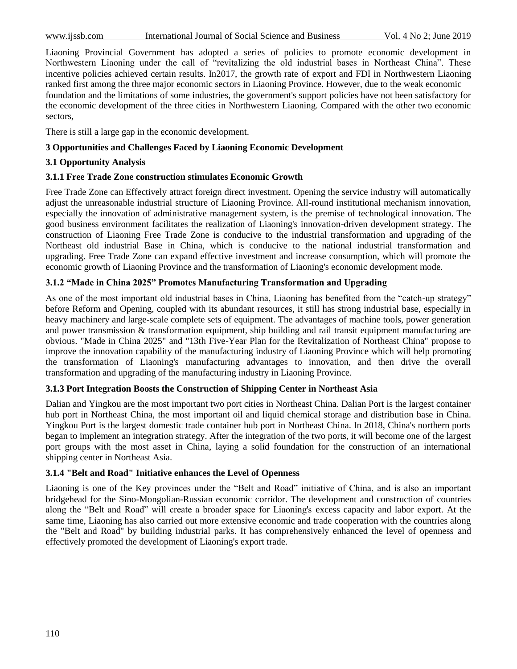Liaoning Provincial Government has adopted a series of policies to promote economic development in Northwestern Liaoning under the call of "revitalizing the old industrial bases in Northeast China". These incentive policies achieved certain results. In2017, the growth rate of export and FDI in Northwestern Liaoning ranked first among the three major economic sectors in Liaoning Province. However, due to the weak economic foundation and the limitations of some industries, the government's support policies have not been satisfactory for the economic development of the three cities in Northwestern Liaoning. Compared with the other two economic sectors,

There is still a large gap in the economic development.

# **3 Opportunities and Challenges Faced by Liaoning Economic Development**

# **3.1 Opportunity Analysis**

# **3.1.1 Free Trade Zone construction stimulates Economic Growth**

Free Trade Zone can Effectively attract foreign direct investment. Opening the service industry will automatically adjust the unreasonable industrial structure of Liaoning Province. All-round institutional mechanism innovation, especially the innovation of administrative management system, is the premise of technological innovation. The good business environment facilitates the realization of Liaoning's innovation-driven development strategy. The construction of Liaoning Free Trade Zone is conducive to the industrial transformation and upgrading of the Northeast old industrial Base in China, which is conducive to the national industrial transformation and upgrading. Free Trade Zone can expand effective investment and increase consumption, which will promote the economic growth of Liaoning Province and the transformation of Liaoning's economic development mode.

# **3.1.2 "Made in China 2025" Promotes Manufacturing Transformation and Upgrading**

As one of the most important old industrial bases in China, Liaoning has benefited from the "catch-up strategy" before Reform and Opening, coupled with its abundant resources, it still has strong industrial base, especially in heavy machinery and large-scale complete sets of equipment. The advantages of machine tools, power generation and power transmission & transformation equipment, ship building and rail transit equipment manufacturing are obvious. "Made in China 2025" and "13th Five-Year Plan for the Revitalization of Northeast China" propose to improve the innovation capability of the manufacturing industry of Liaoning Province which will help promoting the transformation of Liaoning's manufacturing advantages to innovation, and then drive the overall transformation and upgrading of the manufacturing industry in Liaoning Province.

# **3.1.3 Port Integration Boosts the Construction of Shipping Center in Northeast Asia**

Dalian and Yingkou are the most important two port cities in Northeast China. Dalian Port is the largest container hub port in Northeast China, the most important oil and liquid chemical storage and distribution base in China. Yingkou Port is the largest domestic trade container hub port in Northeast China. In 2018, China's northern ports began to implement an integration strategy. After the integration of the two ports, it will become one of the largest port groups with the most asset in China, laying a solid foundation for the construction of an international shipping center in Northeast Asia.

# **3.1.4 "Belt and Road" Initiative enhances the Level of Openness**

Liaoning is one of the Key provinces under the "Belt and Road" initiative of China, and is also an important bridgehead for the Sino-Mongolian-Russian economic corridor. The development and construction of countries along the "Belt and Road" will create a broader space for Liaoning's excess capacity and labor export. At the same time, Liaoning has also carried out more extensive economic and trade cooperation with the countries along the "Belt and Road" by building industrial parks. It has comprehensively enhanced the level of openness and effectively promoted the development of Liaoning's export trade.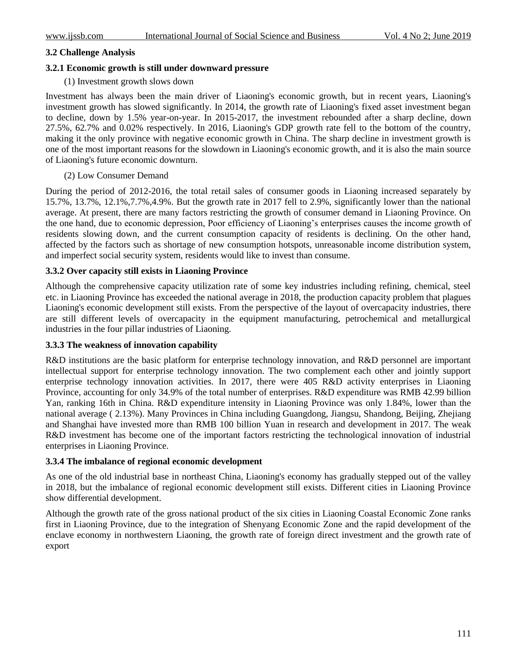# **3.2 Challenge Analysis**

### **3.2.1 Economic growth is still under downward pressure**

### (1) Investment growth slows down

Investment has always been the main driver of Liaoning's economic growth, but in recent years, Liaoning's investment growth has slowed significantly. In 2014, the growth rate of Liaoning's fixed asset investment began to decline, down by 1.5% year-on-year. In 2015-2017, the investment rebounded after a sharp decline, down 27.5%, 62.7% and 0.02% respectively. In 2016, Liaoning's GDP growth rate fell to the bottom of the country, making it the only province with negative economic growth in China. The sharp decline in investment growth is one of the most important reasons for the slowdown in Liaoning's economic growth, and it is also the main source of Liaoning's future economic downturn.

### (2) Low Consumer Demand

During the period of 2012-2016, the total retail sales of consumer goods in Liaoning increased separately by 15.7%, 13.7%, 12.1%,7.7%,4.9%. But the growth rate in 2017 fell to 2.9%, significantly lower than the national average. At present, there are many factors restricting the growth of consumer demand in Liaoning Province. On the one hand, due to economic depression, Poor efficiency of Liaoning's enterprises causes the income growth of residents slowing down, and the current consumption capacity of residents is declining. On the other hand, affected by the factors such as shortage of new consumption hotspots, unreasonable income distribution system, and imperfect social security system, residents would like to invest than consume.

### **3.3.2 Over capacity still exists in Liaoning Province**

Although the comprehensive capacity utilization rate of some key industries including refining, chemical, steel etc. in Liaoning Province has exceeded the national average in 2018, the production capacity problem that plagues Liaoning's economic development still exists. From the perspective of the layout of overcapacity industries, there are still different levels of overcapacity in the equipment manufacturing, petrochemical and metallurgical industries in the four pillar industries of Liaoning.

### **3.3.3 The weakness of innovation capability**

R&D institutions are the basic platform for enterprise technology innovation, and R&D personnel are important intellectual support for enterprise technology innovation. The two complement each other and jointly support enterprise technology innovation activities. In 2017, there were 405 R&D activity enterprises in Liaoning Province, accounting for only 34.9% of the total number of enterprises. R&D expenditure was RMB 42.99 billion Yan, ranking 16th in China. R&D expenditure intensity in Liaoning Province was only 1.84%, lower than the national average ( 2.13%). Many Provinces in China including Guangdong, Jiangsu, Shandong, Beijing, Zhejiang and Shanghai have invested more than RMB 100 billion Yuan in research and development in 2017. The weak R&D investment has become one of the important factors restricting the technological innovation of industrial enterprises in Liaoning Province.

### **3.3.4 The imbalance of regional economic development**

As one of the old industrial base in northeast China, Liaoning's economy has gradually stepped out of the valley in 2018, but the imbalance of regional economic development still exists. Different cities in Liaoning Province show differential development.

Although the growth rate of the gross national product of the six cities in Liaoning Coastal Economic Zone ranks first in Liaoning Province, due to the integration of Shenyang Economic Zone and the rapid development of the enclave economy in northwestern Liaoning, the growth rate of foreign direct investment and the growth rate of export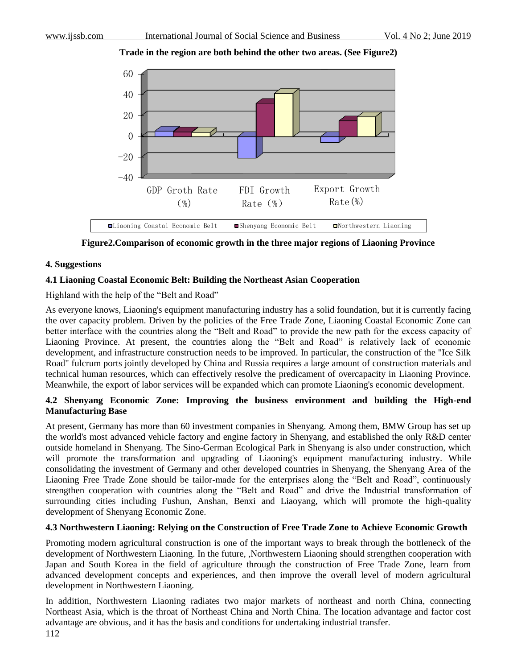**Trade in the region are both behind the other two areas. (See Figure2)**



**Figure2.Comparison of economic growth in the three major regions of Liaoning Province**

### **4. Suggestions**

### **4.1 Liaoning Coastal Economic Belt: Building the Northeast Asian Cooperation**

Highland with the help of the "Belt and Road"

As everyone knows, Liaoning's equipment manufacturing industry has a solid foundation, but it is currently facing the over capacity problem. Driven by the policies of the Free Trade Zone, Liaoning Coastal Economic Zone can better interface with the countries along the "Belt and Road" to provide the new path for the excess capacity of Liaoning Province. At present, the countries along the "Belt and Road" is relatively lack of economic development, and infrastructure construction needs to be improved. In particular, the construction of the "Ice Silk Road" fulcrum ports jointly developed by China and Russia requires a large amount of construction materials and technical human resources, which can effectively resolve the predicament of overcapacity in Liaoning Province. Meanwhile, the export of labor services will be expanded which can promote Liaoning's economic development.

# **4.2 Shenyang Economic Zone: Improving the business environment and building the High-end Manufacturing Base**

At present, Germany has more than 60 investment companies in Shenyang. Among them, BMW Group has set up the world's most advanced vehicle factory and engine factory in Shenyang, and established the only R&D center outside homeland in Shenyang. The Sino-German Ecological Park in Shenyang is also under construction, which will promote the transformation and upgrading of Liaoning's equipment manufacturing industry. While consolidating the investment of Germany and other developed countries in Shenyang, the Shenyang Area of the Liaoning Free Trade Zone should be tailor-made for the enterprises along the "Belt and Road", continuously strengthen cooperation with countries along the "Belt and Road" and drive the Industrial transformation of surrounding cities including Fushun, Anshan, Benxi and Liaoyang, which will promote the high-quality development of Shenyang Economic Zone.

### **4.3 Northwestern Liaoning: Relying on the Construction of Free Trade Zone to Achieve Economic Growth**

Promoting modern agricultural construction is one of the important ways to break through the bottleneck of the development of Northwestern Liaoning. In the future, ,Northwestern Liaoning should strengthen cooperation with Japan and South Korea in the field of agriculture through the construction of Free Trade Zone, learn from advanced development concepts and experiences, and then improve the overall level of modern agricultural development in Northwestern Liaoning.

In addition, Northwestern Liaoning radiates two major markets of northeast and north China, connecting Northeast Asia, which is the throat of Northeast China and North China. The location advantage and factor cost advantage are obvious, and it has the basis and conditions for undertaking industrial transfer.